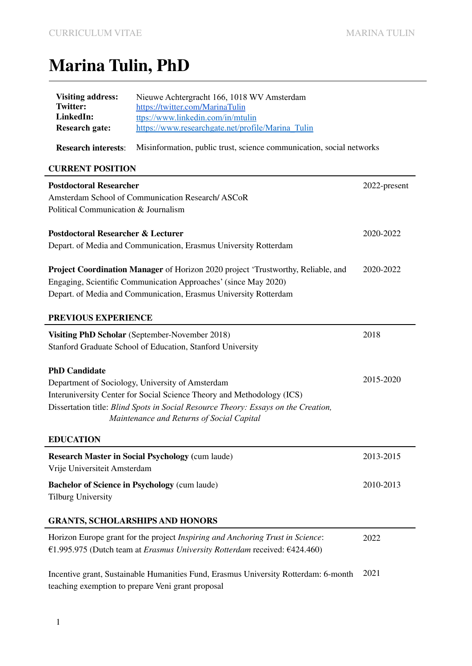# **Marina Tulin, PhD**

| <b>Visiting address:</b><br><b>Twitter:</b>                                                                                                                         | Nieuwe Achtergracht 166, 1018 WV Amsterdam                                                                                      |              |
|---------------------------------------------------------------------------------------------------------------------------------------------------------------------|---------------------------------------------------------------------------------------------------------------------------------|--------------|
| LinkedIn:                                                                                                                                                           | https://twitter.com/MarinaTulin<br>ttps://www.linkedin.com/in/mtulin                                                            |              |
| <b>Research gate:</b>                                                                                                                                               | https://www.researchgate.net/profile/Marina Tulin                                                                               |              |
| <b>Research interests:</b>                                                                                                                                          | Misinformation, public trust, science communication, social networks                                                            |              |
| <b>CURRENT POSITION</b>                                                                                                                                             |                                                                                                                                 |              |
| <b>Postdoctoral Researcher</b>                                                                                                                                      |                                                                                                                                 | 2022-present |
| Amsterdam School of Communication Research/ASCoR                                                                                                                    |                                                                                                                                 |              |
| Political Communication & Journalism                                                                                                                                |                                                                                                                                 |              |
| <b>Postdoctoral Researcher &amp; Lecturer</b>                                                                                                                       |                                                                                                                                 | 2020-2022    |
| Depart. of Media and Communication, Erasmus University Rotterdam                                                                                                    |                                                                                                                                 |              |
|                                                                                                                                                                     |                                                                                                                                 |              |
| Project Coordination Manager of Horizon 2020 project 'Trustworthy, Reliable, and                                                                                    |                                                                                                                                 | 2020-2022    |
|                                                                                                                                                                     | Engaging, Scientific Communication Approaches' (since May 2020)                                                                 |              |
|                                                                                                                                                                     | Depart. of Media and Communication, Erasmus University Rotterdam                                                                |              |
| PREVIOUS EXPERIENCE                                                                                                                                                 |                                                                                                                                 |              |
| Visiting PhD Scholar (September-November 2018)                                                                                                                      |                                                                                                                                 | 2018         |
| Stanford Graduate School of Education, Stanford University                                                                                                          |                                                                                                                                 |              |
|                                                                                                                                                                     |                                                                                                                                 |              |
| <b>PhD Candidate</b>                                                                                                                                                |                                                                                                                                 | 2015-2020    |
|                                                                                                                                                                     | Department of Sociology, University of Amsterdam                                                                                |              |
| Interuniversity Center for Social Science Theory and Methodology (ICS)                                                                                              |                                                                                                                                 |              |
|                                                                                                                                                                     | Dissertation title: Blind Spots in Social Resource Theory: Essays on the Creation,<br>Maintenance and Returns of Social Capital |              |
|                                                                                                                                                                     |                                                                                                                                 |              |
| <b>EDUCATION</b>                                                                                                                                                    |                                                                                                                                 |              |
| <b>Research Master in Social Psychology (cum laude)</b><br>Vrije Universiteit Amsterdam                                                                             |                                                                                                                                 | 2013-2015    |
| <b>Tilburg University</b>                                                                                                                                           | <b>Bachelor of Science in Psychology (cum laude)</b>                                                                            | 2010-2013    |
|                                                                                                                                                                     | <b>GRANTS, SCHOLARSHIPS AND HONORS</b>                                                                                          |              |
| Horizon Europe grant for the project Inspiring and Anchoring Trust in Science:<br>€1.995.975 (Dutch team at <i>Erasmus University Rotterdam</i> received: €424.460) |                                                                                                                                 | 2022         |

Incentive grant, Sustainable Humanities Fund, Erasmus University Rotterdam: 6-month 2021 teaching exemption to prepare Veni grant proposal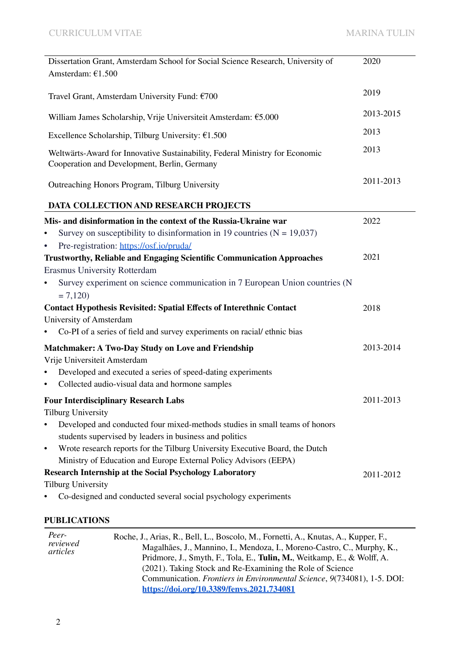| Dissertation Grant, Amsterdam School for Social Science Research, University of<br>Amsterdam: €1.500                         | 2020      |
|------------------------------------------------------------------------------------------------------------------------------|-----------|
| Travel Grant, Amsterdam University Fund: €700                                                                                | 2019      |
| William James Scholarship, Vrije Universiteit Amsterdam: €5.000                                                              | 2013-2015 |
| Excellence Scholarship, Tilburg University: $£1.500$                                                                         | 2013      |
| Weltwärts-Award for Innovative Sustainability, Federal Ministry for Economic<br>Cooperation and Development, Berlin, Germany | 2013      |
| Outreaching Honors Program, Tilburg University                                                                               | 2011-2013 |
| DATA COLLECTION AND RESEARCH PROJECTS                                                                                        |           |
| Mis- and disinformation in the context of the Russia-Ukraine war                                                             | 2022      |
| Survey on susceptibility to disinformation in 19 countries $(N = 19,037)$<br>٠                                               |           |
| Pre-registration: https://osf.io/pruda/<br>٠                                                                                 |           |
| Trustworthy, Reliable and Engaging Scientific Communication Approaches                                                       | 2021      |
| <b>Erasmus University Rotterdam</b>                                                                                          |           |
| Survey experiment on science communication in 7 European Union countries (N<br>$\bullet$<br>$= 7,120$                        |           |
| <b>Contact Hypothesis Revisited: Spatial Effects of Interethnic Contact</b>                                                  | 2018      |
| University of Amsterdam                                                                                                      |           |
| Co-PI of a series of field and survey experiments on racial/ethnic bias                                                      |           |
| <b>Matchmaker: A Two-Day Study on Love and Friendship</b>                                                                    | 2013-2014 |
| Vrije Universiteit Amsterdam                                                                                                 |           |
| Developed and executed a series of speed-dating experiments<br>٠                                                             |           |
| Collected audio-visual data and hormone samples<br>$\bullet$                                                                 |           |
| <b>Four Interdisciplinary Research Labs</b>                                                                                  | 2011-2013 |
| <b>Tilburg University</b>                                                                                                    |           |
| Developed and conducted four mixed-methods studies in small teams of honors<br>$\bullet$                                     |           |
| students supervised by leaders in business and politics                                                                      |           |
| Wrote research reports for the Tilburg University Executive Board, the Dutch<br>$\bullet$                                    |           |
| Ministry of Education and Europe External Policy Advisors (EEPA)                                                             |           |
| <b>Research Internship at the Social Psychology Laboratory</b>                                                               | 2011-2012 |
| <b>Tilburg University</b>                                                                                                    |           |
| Co-designed and conducted several social psychology experiments                                                              |           |

#### **PUBLICATIONS**

| Peer-<br>reviewed<br>articles | Roche, J., Arias, R., Bell, L., Boscolo, M., Fornetti, A., Knutas, A., Kupper, F.,<br>Magalhães, J., Mannino, I., Mendoza, I., Moreno-Castro, C., Murphy, K.,<br>Pridmore, J., Smyth, F., Tola, E., Tulin, M., Weitkamp, E., & Wolff, A.<br>(2021). Taking Stock and Re-Examining the Role of Science<br>Communication. <i>Frontiers in Environmental Science</i> , 9(734081), 1-5. DOI:<br>https://doi.org/10.3389/fenvs.2021.734081 |
|-------------------------------|---------------------------------------------------------------------------------------------------------------------------------------------------------------------------------------------------------------------------------------------------------------------------------------------------------------------------------------------------------------------------------------------------------------------------------------|
|                               |                                                                                                                                                                                                                                                                                                                                                                                                                                       |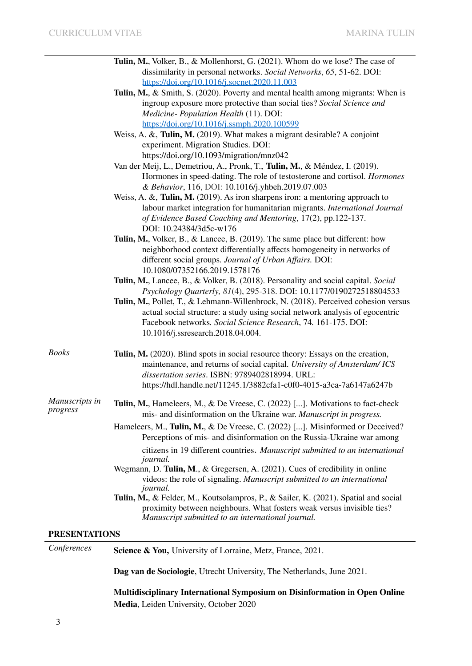|                            | <b>Tulin, M.</b> , Volker, B., & Mollenhorst, G. (2021). Whom do we lose? The case of<br>dissimilarity in personal networks. Social Networks, 65, 51-62. DOI:                                                                                                                                                                                                                                                                         |
|----------------------------|---------------------------------------------------------------------------------------------------------------------------------------------------------------------------------------------------------------------------------------------------------------------------------------------------------------------------------------------------------------------------------------------------------------------------------------|
|                            | https://doi.org/10.1016/j.socnet.2020.11.003<br>Tulin, M., & Smith, S. (2020). Poverty and mental health among migrants: When is<br>ingroup exposure more protective than social ties? Social Science and<br>Medicine-Population Health (11). DOI:                                                                                                                                                                                    |
|                            | https://doi.org/10.1016/j.ssmph.2020.100599<br>Weiss, A. &, Tulin, M. (2019). What makes a migrant desirable? A conjoint<br>experiment. Migration Studies. DOI:                                                                                                                                                                                                                                                                       |
|                            | https://doi.org/10.1093/migration/mnz042<br>Van der Meij, L., Demetriou, A., Pronk, T., Tulin, M., & Méndez, I. (2019).<br>Hormones in speed-dating. The role of testosterone and cortisol. Hormones<br>& Behavior, 116, DOI: 10.1016/j.yhbeh.2019.07.003                                                                                                                                                                             |
|                            | Weiss, A. &, Tulin, M. (2019). As iron sharpens iron: a mentoring approach to<br>labour market integration for humanitarian migrants. International Journal<br>of Evidence Based Coaching and Mentoring, 17(2), pp.122-137.<br>DOI: 10.24384/3d5c-w176                                                                                                                                                                                |
|                            | Tulin, M., Volker, B., & Lancee, B. (2019). The same place but different: how<br>neighborhood context differentially affects homogeneity in networks of<br>different social groups. Journal of Urban Affairs. DOI:<br>10.1080/07352166.2019.1578176                                                                                                                                                                                   |
|                            | Tulin, M., Lancee, B., & Volker, B. (2018). Personality and social capital. Social<br>Psychology Quarterly, 81(4), 295-318. DOI: 10.1177/0190272518804533<br>Tulin, M., Pollet, T., & Lehmann-Willenbrock, N. (2018). Perceived cohesion versus<br>actual social structure: a study using social network analysis of egocentric<br>Facebook networks. Social Science Research, 74. 161-175. DOI:<br>10.1016/j.ssresearch.2018.04.004. |
| Books                      | Tulin, M. (2020). Blind spots in social resource theory: Essays on the creation,<br>maintenance, and returns of social capital. University of Amsterdam/ICS<br>dissertation series. ISBN: 9789402818994. URL:<br>https://hdl.handle.net/11245.1/3882cfa1-c0f0-4015-a3ca-7a6147a6247b                                                                                                                                                  |
| Manuscripts in<br>progress | Tulin, M., Hameleers, M., & De Vreese, C. (2022) []. Motivations to fact-check<br>mis- and disinformation on the Ukraine war. Manuscript in progress.                                                                                                                                                                                                                                                                                 |
|                            | Hameleers, M., Tulin, M., & De Vreese, C. (2022) []. Misinformed or Deceived?<br>Perceptions of mis- and disinformation on the Russia-Ukraine war among<br>citizens in 19 different countries. Manuscript submitted to an international                                                                                                                                                                                               |
|                            | journal.<br>Wegmann, D. Tulin, M., & Gregersen, A. (2021). Cues of credibility in online<br>videos: the role of signaling. Manuscript submitted to an international<br><i>journal.</i>                                                                                                                                                                                                                                                |
|                            | Tulin, M., & Felder, M., Koutsolampros, P., & Sailer, K. (2021). Spatial and social<br>proximity between neighbours. What fosters weak versus invisible ties?<br>Manuscript submitted to an international journal.                                                                                                                                                                                                                    |
| <b>PRESENTATIONS</b>       |                                                                                                                                                                                                                                                                                                                                                                                                                                       |
| Conferences                | Science & You, University of Lorraine, Metz, France, 2021.                                                                                                                                                                                                                                                                                                                                                                            |
|                            | Dag van de Sociologie, Utrecht University, The Netherlands, June 2021.                                                                                                                                                                                                                                                                                                                                                                |

**Multidisciplinary International Symposium on Disinformation in Open Online Media**, Leiden University, October 2020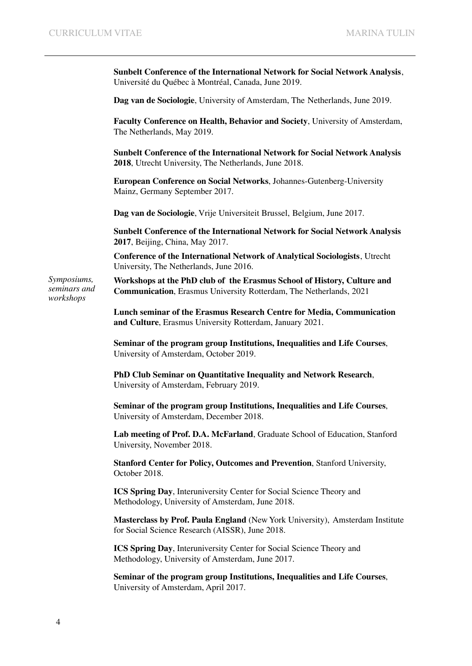*Symposiums, seminars and workshops*

**Sunbelt Conference of the International Network for Social Network Analysis**, Université du Québec à Montréal, Canada, June 2019.

**Dag van de Sociologie**, University of Amsterdam, The Netherlands, June 2019.

**Faculty Conference on Health, Behavior and Society**, University of Amsterdam, The Netherlands, May 2019.

**Sunbelt Conference of the International Network for Social Network Analysis 2018**, Utrecht University, The Netherlands, June 2018.

**European Conference on Social Networks**, Johannes-Gutenberg-University Mainz, Germany September 2017.

**Dag van de Sociologie**, Vrije Universiteit Brussel, Belgium, June 2017.

**Sunbelt Conference of the International Network for Social Network Analysis 2017**, Beijing, China, May 2017.

**Conference of the International Network of Analytical Sociologists**, Utrecht University, The Netherlands, June 2016.

**Workshops at the PhD club of the Erasmus School of History, Culture and Communication**, Erasmus University Rotterdam, The Netherlands, 2021

**Lunch seminar of the Erasmus Research Centre for Media, Communication and Culture**, Erasmus University Rotterdam, January 2021.

**Seminar of the program group Institutions, Inequalities and Life Courses**, University of Amsterdam, October 2019.

**PhD Club Seminar on Quantitative Inequality and Network Research**, University of Amsterdam, February 2019.

**Seminar of the program group Institutions, Inequalities and Life Courses**, University of Amsterdam, December 2018.

**Lab meeting of Prof. D.A. McFarland**, Graduate School of Education, Stanford University, November 2018.

**Stanford Center for Policy, Outcomes and Prevention**, Stanford University, October 2018.

**ICS Spring Day**, Interuniversity Center for Social Science Theory and Methodology, University of Amsterdam, June 2018.

**Masterclass by Prof. Paula England** (New York University), Amsterdam Institute for Social Science Research (AISSR), June 2018.

**ICS Spring Day**, Interuniversity Center for Social Science Theory and Methodology, University of Amsterdam, June 2017.

**Seminar of the program group Institutions, Inequalities and Life Courses**, University of Amsterdam, April 2017.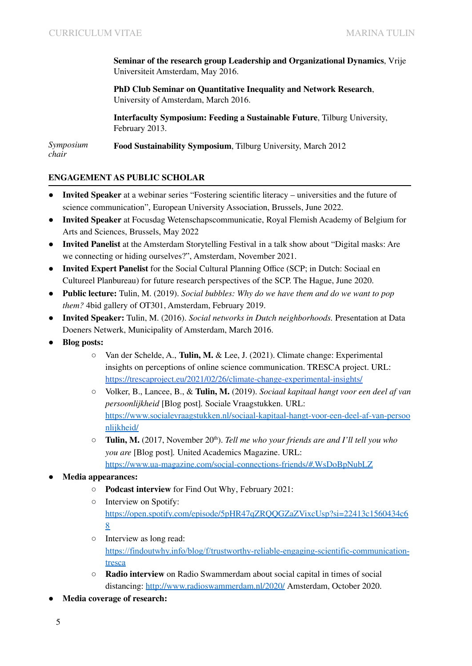**Seminar of the research group Leadership and Organizational Dynamics**, Vrije Universiteit Amsterdam, May 2016.

**PhD Club Seminar on Quantitative Inequality and Network Research**, University of Amsterdam, March 2016.

**Interfaculty Symposium: Feeding a Sustainable Future**, Tilburg University, February 2013.

*Symposium chair* **Food Sustainability Symposium**, Tilburg University, March 2012

#### **ENGAGEMENT AS PUBLIC SCHOLAR**

- **Invited Speaker** at a webinar series "Fostering scientific literacy universities and the future of science communication", European University Association, Brussels, June 2022.
- **Invited Speaker** at Focusdag Wetenschapscommunicatie, Royal Flemish Academy of Belgium for Arts and Sciences, Brussels, May 2022
- **Invited Panelist** at the Amsterdam Storytelling Festival in a talk show about "Digital masks: Are we connecting or hiding ourselves?", Amsterdam, November 2021.
- **Invited Expert Panelist** for the Social Cultural Planning Office (SCP; in Dutch: Sociaal en Cultureel Planbureau) for future research perspectives of the SCP. The Hague, June 2020.
- **Public lecture:** Tulin, M. (2019). *Social bubbles: Why do we have them and do we want to pop them?* 4bid gallery of OT301, Amsterdam, February 2019.
- **Invited Speaker:** Tulin, M. (2016). *Social networks in Dutch neighborhoods.* Presentation at Data Doeners Netwerk, Municipality of Amsterdam, March 2016.
- **Blog posts:**
	- Van der Schelde, A., **Tulin, M.** & Lee, J. (2021). Climate change: Experimental insights on perceptions of online science communication. TRESCA project. URL: <https://trescaproject.eu/2021/02/26/climate-change-experimental-insights/>
	- Volker, B., Lancee, B., & **Tulin, M.** (2019). *Sociaal kapitaal hangt voor een deel af van persoonlijkheid* [Blog post]*.* Sociale Vraagstukken. URL: [https://www.socialevraagstukken.nl/sociaal-kapitaal-hangt-voor-een-deel-af-van-persoo](https://www.socialevraagstukken.nl/sociaal-kapitaal-hangt-voor-een-deel-af-van-persoonlijkheid/) [nlijkheid/](https://www.socialevraagstukken.nl/sociaal-kapitaal-hangt-voor-een-deel-af-van-persoonlijkheid/)
	- **Tulin, M.** (2017, November 20 th ). *Tell me who your friends are and I'll tell you who you are* [Blog post]*.* United Academics Magazine. URL: <https://www.ua-magazine.com/social-connections-friends/#.WsDoBpNubLZ>
- **● Media appearances:**
	- **○ Podcast interview** for Find Out Why, February 2021:
	- Interview on Spotify: [https://open.spotify.com/episode/5pHR47qZRQQGZaZVixcUsp?si=22413c1560434c6](https://open.spotify.com/episode/5pHR47qZRQQGZaZVixcUsp?si=22413c1560434c68) [8](https://open.spotify.com/episode/5pHR47qZRQQGZaZVixcUsp?si=22413c1560434c68)
	- **○** Interview as long read: [https://findoutwhy.info/blog/f/trustworthy-reliable-engaging-scientific-communication](https://findoutwhy.info/blog/f/trustworthy-reliable-engaging-scientific-communication-tresca)[tresca](https://findoutwhy.info/blog/f/trustworthy-reliable-engaging-scientific-communication-tresca)
	- **Radio interview** on Radio Swammerdam about social capital in times of social distancing: <http://www.radioswammerdam.nl/2020/> Amsterdam, October 2020.
- **Media coverage of research:**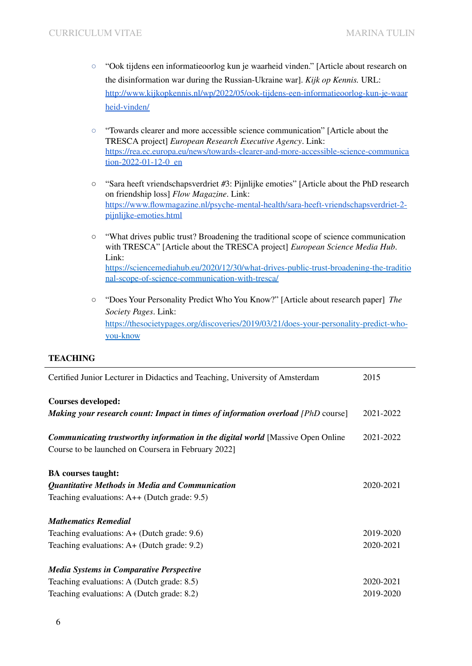- "Ook tijdens een informatieoorlog kun je waarheid vinden." [Article about research on the disinformation war during the Russian-Ukraine war]. *Kijk op Kennis.* URL: [http://www.kijkopkennis.nl/wp/2022/05/ook-tijdens-een-informatieoorlog-kun-je-waar](http://www.kijkopkennis.nl/wp/2022/05/ook-tijdens-een-informatieoorlog-kun-je-waarheid-vinden/) [heid-vinden/](http://www.kijkopkennis.nl/wp/2022/05/ook-tijdens-een-informatieoorlog-kun-je-waarheid-vinden/)
- "Towards clearer and more accessible science communication" [Article about the TRESCA project] *European Research Executive Agency*. Link: [https://rea.ec.europa.eu/news/towards-clearer-and-more-accessible-science-communica](https://rea.ec.europa.eu/news/towards-clearer-and-more-accessible-science-communication-2022-01-12-0_en) [tion-2022-01-12-0\\_en](https://rea.ec.europa.eu/news/towards-clearer-and-more-accessible-science-communication-2022-01-12-0_en)
- "Sara heeft vriendschapsverdriet #3: Pijnlijke emoties" [Article about the PhD research on friendship loss] *Flow Magazine*. Link: [https://www.flowmagazine.nl/psyche-mental-health/sara-heeft-vriendschapsverdriet-2](https://www.flowmagazine.nl/psyche-mental-health/sara-heeft-vriendschapsverdriet-2-pijnlijke-emoties.html) [pijnlijke-emoties.html](https://www.flowmagazine.nl/psyche-mental-health/sara-heeft-vriendschapsverdriet-2-pijnlijke-emoties.html)
- "What drives public trust? Broadening the traditional scope of science communication with TRESCA" [Article about the TRESCA project] *European Science Media Hub*. Link: [https://sciencemediahub.eu/2020/12/30/what-drives-public-trust-broadening-the-traditio](https://sciencemediahub.eu/2020/12/30/what-drives-public-trust-broadening-the-traditional-scope-of-science-communication-with-tresca/) [nal-scope-of-science-communication-with-tresca/](https://sciencemediahub.eu/2020/12/30/what-drives-public-trust-broadening-the-traditional-scope-of-science-communication-with-tresca/)
- "Does Your Personality Predict Who You Know?" [Article about research paper] *The Society Pages*. Link: [https://thesocietypages.org/discoveries/2019/03/21/does-your-personality-predict-who](https://thesocietypages.org/discoveries/2019/03/21/does-your-personality-predict-who-you-know)[you-know](https://thesocietypages.org/discoveries/2019/03/21/does-your-personality-predict-who-you-know)

#### **TEACHING**

| Certified Junior Lecturer in Didactics and Teaching, University of Amsterdam            |           |
|-----------------------------------------------------------------------------------------|-----------|
| <b>Courses developed:</b>                                                               |           |
| <b>Making your research count: Impact in times of information overload</b> [PhD course] | 2021-2022 |
| <b>Communicating trustworthy information in the digital world [Massive Open Online</b>  | 2021-2022 |
| Course to be launched on Coursera in February 2022]                                     |           |
| <b>BA</b> courses taught:                                                               |           |
| Quantitative Methods in Media and Communication                                         | 2020-2021 |
| Teaching evaluations: $A++$ (Dutch grade: 9.5)                                          |           |
| <b>Mathematics Remedial</b>                                                             |           |
| Teaching evaluations: $A+$ (Dutch grade: 9.6)                                           | 2019-2020 |
| Teaching evaluations: $A+$ (Dutch grade: 9.2)                                           | 2020-2021 |
| <b>Media Systems in Comparative Perspective</b>                                         |           |
| Teaching evaluations: A (Dutch grade: 8.5)                                              | 2020-2021 |
| Teaching evaluations: A (Dutch grade: 8.2)                                              | 2019-2020 |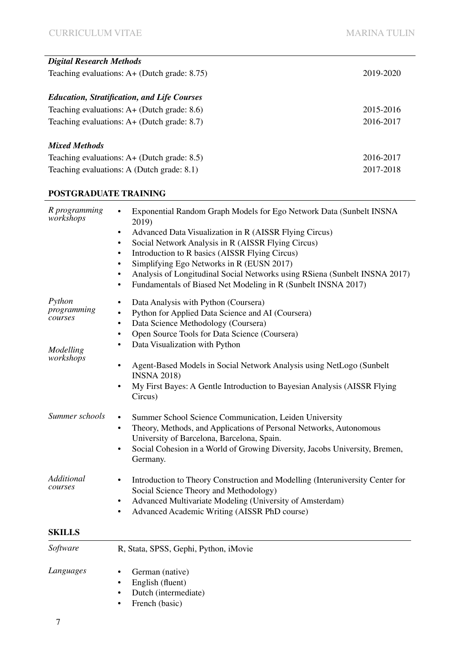| <b>Digital Research Methods</b>                    |           |
|----------------------------------------------------|-----------|
| Teaching evaluations: $A+$ (Dutch grade: 8.75)     | 2019-2020 |
|                                                    |           |
| <b>Education, Stratification, and Life Courses</b> |           |
| Teaching evaluations: $A+$ (Dutch grade: 8.6)      | 2015-2016 |
| Teaching evaluations: $A+$ (Dutch grade: 8.7)      | 2016-2017 |
|                                                    |           |
| <b>Mixed Methods</b>                               |           |
| Teaching evaluations: $A+$ (Dutch grade: 8.5)      | 2016-2017 |
| Teaching evaluations: A (Dutch grade: 8.1)         | 2017-2018 |

#### **POSTGRADUATE TRAINING**

| R programming<br>workshops                    | Exponential Random Graph Models for Ego Network Data (Sunbelt INSNA<br>$\bullet$<br>2019)<br>Advanced Data Visualization in R (AISSR Flying Circus)<br>$\bullet$<br>Social Network Analysis in R (AISSR Flying Circus)<br>$\bullet$<br>Introduction to R basics (AISSR Flying Circus)<br>$\bullet$<br>Simplifying Ego Networks in R (EUSN 2017)<br>$\bullet$<br>Analysis of Longitudinal Social Networks using RSiena (Sunbelt INSNA 2017)<br>$\bullet$<br>Fundamentals of Biased Net Modeling in R (Sunbelt INSNA 2017)<br>$\bullet$ |
|-----------------------------------------------|---------------------------------------------------------------------------------------------------------------------------------------------------------------------------------------------------------------------------------------------------------------------------------------------------------------------------------------------------------------------------------------------------------------------------------------------------------------------------------------------------------------------------------------|
| Python<br>programming<br>courses<br>Modelling | Data Analysis with Python (Coursera)<br>$\bullet$<br>Python for Applied Data Science and AI (Coursera)<br>$\bullet$<br>Data Science Methodology (Coursera)<br>$\bullet$<br>Open Source Tools for Data Science (Coursera)<br>$\bullet$<br>Data Visualization with Python<br>٠                                                                                                                                                                                                                                                          |
| workshops                                     | Agent-Based Models in Social Network Analysis using NetLogo (Sunbelt<br>$\bullet$<br><b>INSNA 2018)</b><br>My First Bayes: A Gentle Introduction to Bayesian Analysis (AISSR Flying<br>$\bullet$<br>Circus)                                                                                                                                                                                                                                                                                                                           |
| Summer schools                                | Summer School Science Communication, Leiden University<br>$\bullet$<br>Theory, Methods, and Applications of Personal Networks, Autonomous<br>$\bullet$<br>University of Barcelona, Barcelona, Spain.<br>Social Cohesion in a World of Growing Diversity, Jacobs University, Bremen,<br>$\bullet$<br>Germany.                                                                                                                                                                                                                          |
| Additional<br>courses                         | Introduction to Theory Construction and Modelling (Interuniversity Center for<br>$\bullet$<br>Social Science Theory and Methodology)<br>Advanced Multivariate Modeling (University of Amsterdam)<br>٠<br>Advanced Academic Writing (AISSR PhD course)<br>$\bullet$                                                                                                                                                                                                                                                                    |
| <b>SKILLS</b>                                 |                                                                                                                                                                                                                                                                                                                                                                                                                                                                                                                                       |
| Software                                      | R, Stata, SPSS, Gephi, Python, iMovie                                                                                                                                                                                                                                                                                                                                                                                                                                                                                                 |
| Languages                                     | German (native)<br>$\bullet$<br>English (fluent)<br>$\bullet$<br>Dutch (intermediate)<br>$\bullet$                                                                                                                                                                                                                                                                                                                                                                                                                                    |

• French (basic)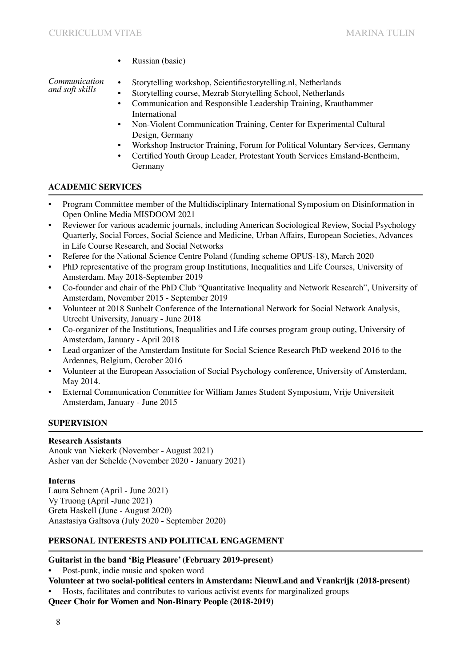• Russian (basic)

*Communication and soft skills*

• Storytelling workshop, Scientificstorytelling.nl, Netherlands

- Storytelling course, Mezrab Storytelling School, Netherlands
- Communication and Responsible Leadership Training, Krauthammer International
- Non-Violent Communication Training, Center for Experimental Cultural Design, Germany
- Workshop Instructor Training, Forum for Political Voluntary Services, Germany
- Certified Youth Group Leader, Protestant Youth Services Emsland-Bentheim, **Germany**

# **ACADEMIC SERVICES**

- Program Committee member of the Multidisciplinary International Symposium on Disinformation in Open Online Media MISDOOM 2021
- Reviewer for various academic journals, including American Sociological Review, Social Psychology Quarterly, Social Forces, Social Science and Medicine, Urban Affairs, European Societies, Advances in Life Course Research, and Social Networks
- Referee for the National Science Centre Poland (funding scheme OPUS-18), March 2020
- PhD representative of the program group Institutions, Inequalities and Life Courses, University of Amsterdam. May 2018-September 2019
- Co-founder and chair of the PhD Club "Quantitative Inequality and Network Research", University of Amsterdam, November 2015 - September 2019
- Volunteer at 2018 Sunbelt Conference of the International Network for Social Network Analysis, Utrecht University, January - June 2018
- Co-organizer of the Institutions, Inequalities and Life courses program group outing, University of Amsterdam, January - April 2018
- Lead organizer of the Amsterdam Institute for Social Science Research PhD weekend 2016 to the Ardennes, Belgium, October 2016
- Volunteer at the European Association of Social Psychology conference, University of Amsterdam, May 2014.
- External Communication Committee for William James Student Symposium, Vrije Universiteit Amsterdam, January - June 2015

# **SUPERVISION**

## **Research Assistants**

Anouk van Niekerk (November - August 2021) Asher van der Schelde (November 2020 - January 2021)

## **Interns**

Laura Sehnem (April - June 2021) Vy Truong (April -June 2021) Greta Haskell (June - August 2020) Anastasiya Galtsova (July 2020 - September 2020)

# **PERSONAL INTERESTS AND POLITICAL ENGAGEMENT**

# **Guitarist in the band 'Big Pleasure' (February 2019-present)**

• Post-punk, indie music and spoken word

- **Volunteer at two social-political centers in Amsterdam: NieuwLand and Vrankrijk (2018-present)**
- Hosts, facilitates and contributes to various activist events for marginalized groups

**Queer Choir for Women and Non-Binary People (2018-2019)**